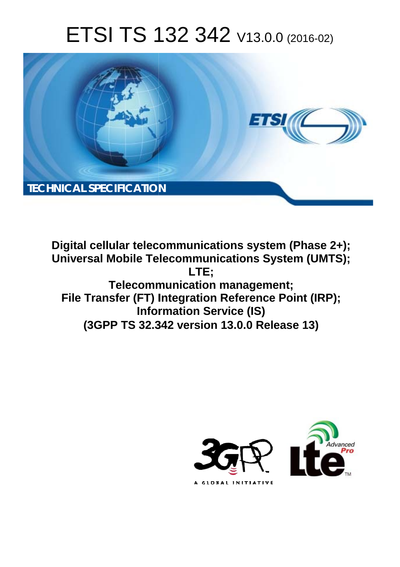# ETSI TS 132 342 V13.0.0 (2016-02)



**Digital cellular telecommunications system (Phase 2+); Universal Mobile Tel elecommunications System ( (UMTS); Telecomm munication management; File Transfer (FT) Integration Reference Point (IRP); Infor ormation Service (IS) (3GPP TS 32.3 .342 version 13.0.0 Release 13 13) LTE;** 

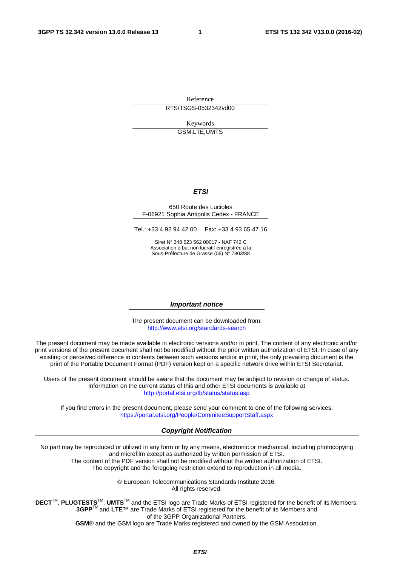Reference RTS/TSGS-0532342vd00

> Keywords GSM,LTE,UMTS

#### *ETSI*

#### 650 Route des Lucioles F-06921 Sophia Antipolis Cedex - FRANCE

Tel.: +33 4 92 94 42 00 Fax: +33 4 93 65 47 16

Siret N° 348 623 562 00017 - NAF 742 C Association à but non lucratif enregistrée à la Sous-Préfecture de Grasse (06) N° 7803/88

#### *Important notice*

The present document can be downloaded from: <http://www.etsi.org/standards-search>

The present document may be made available in electronic versions and/or in print. The content of any electronic and/or print versions of the present document shall not be modified without the prior written authorization of ETSI. In case of any existing or perceived difference in contents between such versions and/or in print, the only prevailing document is the print of the Portable Document Format (PDF) version kept on a specific network drive within ETSI Secretariat.

Users of the present document should be aware that the document may be subject to revision or change of status. Information on the current status of this and other ETSI documents is available at <http://portal.etsi.org/tb/status/status.asp>

If you find errors in the present document, please send your comment to one of the following services: <https://portal.etsi.org/People/CommiteeSupportStaff.aspx>

#### *Copyright Notification*

No part may be reproduced or utilized in any form or by any means, electronic or mechanical, including photocopying and microfilm except as authorized by written permission of ETSI.

The content of the PDF version shall not be modified without the written authorization of ETSI. The copyright and the foregoing restriction extend to reproduction in all media.

> © European Telecommunications Standards Institute 2016. All rights reserved.

**DECT**TM, **PLUGTESTS**TM, **UMTS**TM and the ETSI logo are Trade Marks of ETSI registered for the benefit of its Members. **3GPP**TM and **LTE**™ are Trade Marks of ETSI registered for the benefit of its Members and of the 3GPP Organizational Partners.

**GSM**® and the GSM logo are Trade Marks registered and owned by the GSM Association.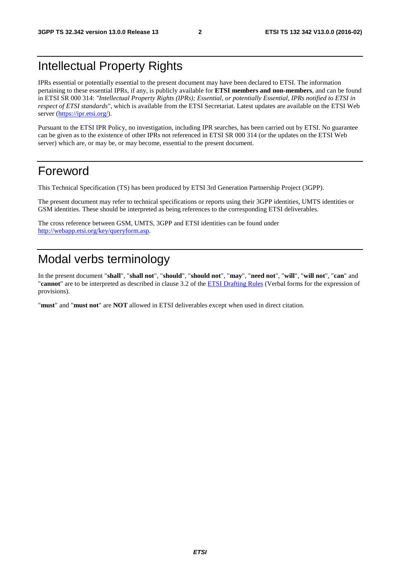# Intellectual Property Rights

IPRs essential or potentially essential to the present document may have been declared to ETSI. The information pertaining to these essential IPRs, if any, is publicly available for **ETSI members and non-members**, and can be found in ETSI SR 000 314: *"Intellectual Property Rights (IPRs); Essential, or potentially Essential, IPRs notified to ETSI in respect of ETSI standards"*, which is available from the ETSI Secretariat. Latest updates are available on the ETSI Web server [\(https://ipr.etsi.org/](https://ipr.etsi.org/)).

Pursuant to the ETSI IPR Policy, no investigation, including IPR searches, has been carried out by ETSI. No guarantee can be given as to the existence of other IPRs not referenced in ETSI SR 000 314 (or the updates on the ETSI Web server) which are, or may be, or may become, essential to the present document.

# Foreword

This Technical Specification (TS) has been produced by ETSI 3rd Generation Partnership Project (3GPP).

The present document may refer to technical specifications or reports using their 3GPP identities, UMTS identities or GSM identities. These should be interpreted as being references to the corresponding ETSI deliverables.

The cross reference between GSM, UMTS, 3GPP and ETSI identities can be found under [http://webapp.etsi.org/key/queryform.asp.](http://webapp.etsi.org/key/queryform.asp)

# Modal verbs terminology

In the present document "**shall**", "**shall not**", "**should**", "**should not**", "**may**", "**need not**", "**will**", "**will not**", "**can**" and "**cannot**" are to be interpreted as described in clause 3.2 of the [ETSI Drafting Rules](http://portal.etsi.org/Help/editHelp!/Howtostart/ETSIDraftingRules.aspx) (Verbal forms for the expression of provisions).

"**must**" and "**must not**" are **NOT** allowed in ETSI deliverables except when used in direct citation.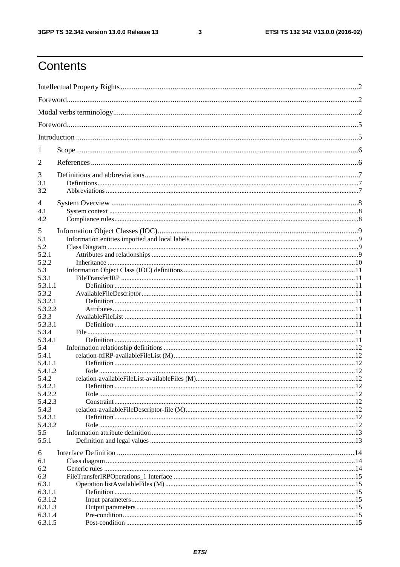$\mathbf{3}$ 

# Contents

| 1                |  |
|------------------|--|
| 2                |  |
| 3                |  |
| 3.1              |  |
| 3.2              |  |
| 4                |  |
| 4.1              |  |
| 4.2              |  |
| 5                |  |
| 5.1              |  |
| 5.2              |  |
| 5.2.1            |  |
| 5.2.2            |  |
| 5.3              |  |
| 5.3.1            |  |
| 5.3.1.1          |  |
| 5.3.2            |  |
| 5.3.2.1          |  |
| 5.3.2.2          |  |
| 5.3.3            |  |
| 5.3.3.1          |  |
| 5.3.4            |  |
| 5.3.4.1          |  |
| 5.4              |  |
| 5.4.1<br>5.4.1.1 |  |
| 5.4.1.2          |  |
| 5.4.2            |  |
| 5.4.2.1          |  |
| 5.4.2.2          |  |
| 5.4.2.3          |  |
| 5.4.3            |  |
| 5.4.3.1          |  |
| 5.4.3.2          |  |
| 5.5              |  |
| 5.5.1            |  |
| 6                |  |
| 6.1              |  |
| 6.2              |  |
| 6.3              |  |
| 6.3.1            |  |
| 6.3.1.1          |  |
| 6.3.1.2          |  |
| 6.3.1.3          |  |
| 6.3.1.4          |  |
| 6.3.1.5          |  |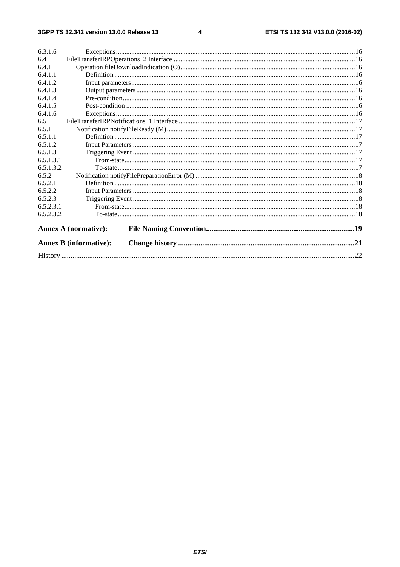$\overline{\mathbf{4}}$ 

| 6.4<br>6.4.1<br>6.4.1.1<br>6.4.1.2<br>6.4.1.3<br>6.4.1.4<br>6.4.1.5<br>6.4.1.6<br>6.5<br>6.5.1<br>6.5.1.1<br>6.5.1.2<br>6.5.1.3<br>6.5.1.3.1<br>6.5.1.3.2<br>6.5.2<br>6.5.2.1<br>6.5.2.2<br>6.5.2.3<br>6.5.2.3.1<br>6.5.2.3.2<br><b>Annex A (normative):</b><br><b>Annex B</b> (informative): | 6.3.1.6 |  |  |  |
|-----------------------------------------------------------------------------------------------------------------------------------------------------------------------------------------------------------------------------------------------------------------------------------------------|---------|--|--|--|
|                                                                                                                                                                                                                                                                                               |         |  |  |  |
|                                                                                                                                                                                                                                                                                               |         |  |  |  |
|                                                                                                                                                                                                                                                                                               |         |  |  |  |
|                                                                                                                                                                                                                                                                                               |         |  |  |  |
|                                                                                                                                                                                                                                                                                               |         |  |  |  |
|                                                                                                                                                                                                                                                                                               |         |  |  |  |
|                                                                                                                                                                                                                                                                                               |         |  |  |  |
|                                                                                                                                                                                                                                                                                               |         |  |  |  |
|                                                                                                                                                                                                                                                                                               |         |  |  |  |
|                                                                                                                                                                                                                                                                                               |         |  |  |  |
|                                                                                                                                                                                                                                                                                               |         |  |  |  |
|                                                                                                                                                                                                                                                                                               |         |  |  |  |
|                                                                                                                                                                                                                                                                                               |         |  |  |  |
|                                                                                                                                                                                                                                                                                               |         |  |  |  |
|                                                                                                                                                                                                                                                                                               |         |  |  |  |
|                                                                                                                                                                                                                                                                                               |         |  |  |  |
|                                                                                                                                                                                                                                                                                               |         |  |  |  |
|                                                                                                                                                                                                                                                                                               |         |  |  |  |
|                                                                                                                                                                                                                                                                                               |         |  |  |  |
|                                                                                                                                                                                                                                                                                               |         |  |  |  |
|                                                                                                                                                                                                                                                                                               |         |  |  |  |
|                                                                                                                                                                                                                                                                                               |         |  |  |  |
|                                                                                                                                                                                                                                                                                               |         |  |  |  |
|                                                                                                                                                                                                                                                                                               |         |  |  |  |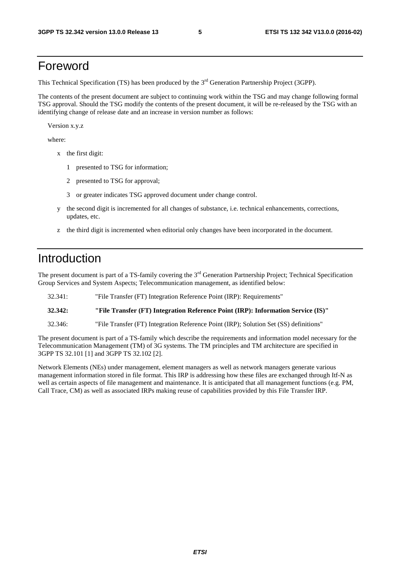# Foreword

This Technical Specification (TS) has been produced by the 3<sup>rd</sup> Generation Partnership Project (3GPP).

The contents of the present document are subject to continuing work within the TSG and may change following formal TSG approval. Should the TSG modify the contents of the present document, it will be re-released by the TSG with an identifying change of release date and an increase in version number as follows:

Version x.y.z

where:

- x the first digit:
	- 1 presented to TSG for information;
	- 2 presented to TSG for approval;
	- 3 or greater indicates TSG approved document under change control.
- y the second digit is incremented for all changes of substance, i.e. technical enhancements, corrections, updates, etc.
- z the third digit is incremented when editorial only changes have been incorporated in the document.

### Introduction

The present document is part of a TS-family covering the 3<sup>rd</sup> Generation Partnership Project; Technical Specification Group Services and System Aspects; Telecommunication management, as identified below:

32.341: "File Transfer (FT) Integration Reference Point (IRP): Requirements"

**32.342: "File Transfer (FT) Integration Reference Point (IRP): Information Service (IS)"** 

32.346: "File Transfer (FT) Integration Reference Point (IRP); Solution Set (SS) definitions"

The present document is part of a TS-family which describe the requirements and information model necessary for the Telecommunication Management (TM) of 3G systems. The TM principles and TM architecture are specified in 3GPP TS 32.101 [1] and 3GPP TS 32.102 [2].

Network Elements (NEs) under management, element managers as well as network managers generate various management information stored in file format. This IRP is addressing how these files are exchanged through Itf-N as well as certain aspects of file management and maintenance. It is anticipated that all management functions (e.g. PM, Call Trace, CM) as well as associated IRPs making reuse of capabilities provided by this File Transfer IRP.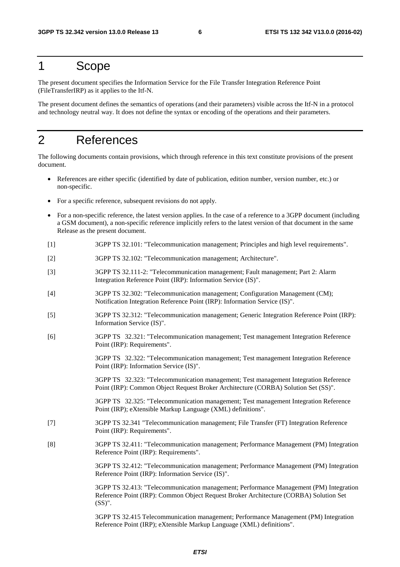# 1 Scope

The present document specifies the Information Service for the File Transfer Integration Reference Point (FileTransferIRP) as it applies to the Itf-N.

The present document defines the semantics of operations (and their parameters) visible across the Itf-N in a protocol and technology neutral way. It does not define the syntax or encoding of the operations and their parameters.

# 2 References

The following documents contain provisions, which through reference in this text constitute provisions of the present document.

- References are either specific (identified by date of publication, edition number, version number, etc.) or non-specific.
- For a specific reference, subsequent revisions do not apply.
- For a non-specific reference, the latest version applies. In the case of a reference to a 3GPP document (including a GSM document), a non-specific reference implicitly refers to the latest version of that document in the same Release as the present document.
- [1] 3GPP TS 32.101: "Telecommunication management; Principles and high level requirements".
- [2] 3GPP TS 32.102: "Telecommunication management; Architecture".
- [3] 3GPP TS 32.111-2: "Telecommunication management; Fault management; Part 2: Alarm Integration Reference Point (IRP): Information Service (IS)".
- [4] 3GPP TS 32.302: "Telecommunication management; Configuration Management (CM); Notification Integration Reference Point (IRP): Information Service (IS)".
- [5] 3GPP TS 32.312: "Telecommunication management; Generic Integration Reference Point (IRP): Information Service (IS)".
- [6] 3GPP TS 32.321: "Telecommunication management; Test management Integration Reference Point (IRP): Requirements".

 3GPP TS 32.322: "Telecommunication management; Test management Integration Reference Point (IRP): Information Service (IS)".

 3GPP TS 32.323: "Telecommunication management; Test management Integration Reference Point (IRP): Common Object Request Broker Architecture (CORBA) Solution Set (SS)".

 3GPP TS 32.325: "Telecommunication management; Test management Integration Reference Point (IRP); eXtensible Markup Language (XML) definitions".

- [7] 3GPP TS 32.341 "Telecommunication management; File Transfer (FT) Integration Reference Point (IRP): Requirements".
- [8] 3GPP TS 32.411: "Telecommunication management; Performance Management (PM) Integration Reference Point (IRP): Requirements".

 3GPP TS 32.412: "Telecommunication management; Performance Management (PM) Integration Reference Point (IRP): Information Service (IS)".

 3GPP TS 32.413: "Telecommunication management; Performance Management (PM) Integration Reference Point (IRP): Common Object Request Broker Architecture (CORBA) Solution Set (SS)".

 3GPP TS 32.415 Telecommunication management; Performance Management (PM) Integration Reference Point (IRP); eXtensible Markup Language (XML) definitions".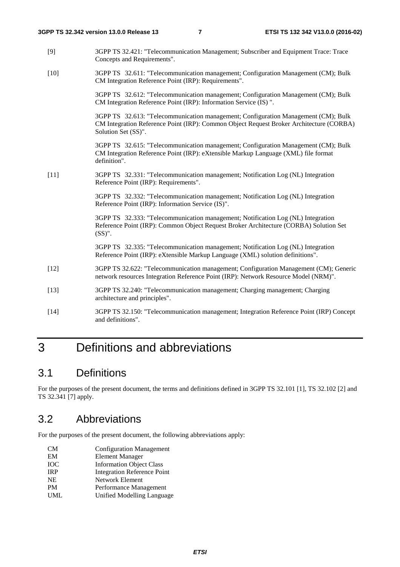- [9] 3GPP TS 32.421: "Telecommunication Management; Subscriber and Equipment Trace: Trace Concepts and Requirements".
- [10] 3GPP TS 32.611: "Telecommunication management; Configuration Management (CM); Bulk CM Integration Reference Point (IRP): Requirements".

3GPP TS 32.612: "Telecommunication management; Configuration Management (CM); Bulk CM Integration Reference Point (IRP): Information Service (IS) ".

3GPP TS 32.613: "Telecommunication management; Configuration Management (CM); Bulk CM Integration Reference Point (IRP): Common Object Request Broker Architecture (CORBA) Solution Set (SS)".

3GPP TS 32.615: "Telecommunication management; Configuration Management (CM); Bulk CM Integration Reference Point (IRP): eXtensible Markup Language (XML) file format definition".

[11] 3GPP TS 32.331: "Telecommunication management; Notification Log (NL) Integration Reference Point (IRP): Requirements".

> 3GPP TS 32.332: "Telecommunication management; Notification Log (NL) Integration Reference Point (IRP): Information Service (IS)".

3GPP TS 32.333: "Telecommunication management; Notification Log (NL) Integration Reference Point (IRP): Common Object Request Broker Architecture (CORBA) Solution Set (SS)".

3GPP TS 32.335: "Telecommunication management; Notification Log (NL) Integration Reference Point (IRP): eXtensible Markup Language (XML) solution definitions".

- [12] 3GPP TS 32.622: "Telecommunication management; Configuration Management (CM); Generic network resources Integration Reference Point (IRP): Network Resource Model (NRM)".
- [13] 3GPP TS 32.240: "Telecommunication management; Charging management; Charging architecture and principles".
- [14] 3GPP TS 32.150: "Telecommunication management; Integration Reference Point (IRP) Concept and definitions".

# 3 Definitions and abbreviations

### 3.1 Definitions

For the purposes of the present document, the terms and definitions defined in 3GPP TS 32.101 [1], TS 32.102 [2] and TS 32.341 [7] apply.

### 3.2 Abbreviations

For the purposes of the present document, the following abbreviations apply:

- CM Configuration Management
- EM Element Manager
- IOC Information Object Class
- IRP Integration Reference Point
- NE Network Element PM Performance Management
- UML Unified Modelling Language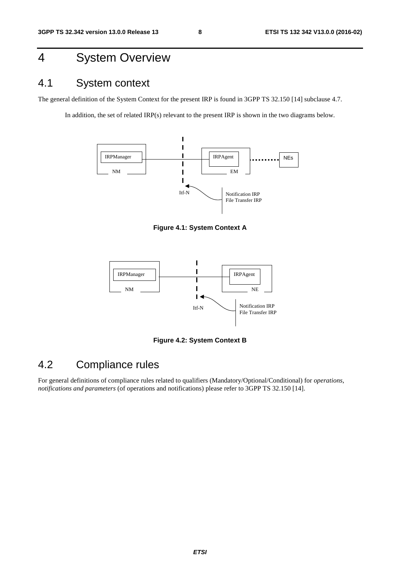# 4 System Overview

# 4.1 System context

The general definition of the System Context for the present IRP is found in 3GPP TS 32.150 [14] subclause 4.7.

In addition, the set of related IRP(s) relevant to the present IRP is shown in the two diagrams below.



**Figure 4.1: System Context A** 



**Figure 4.2: System Context B** 

# 4.2 Compliance rules

For general definitions of compliance rules related to qualifiers (Mandatory/Optional/Conditional) for *operations*, *notifications and parameters* (of operations and notifications) please refer to 3GPP TS 32.150 [14].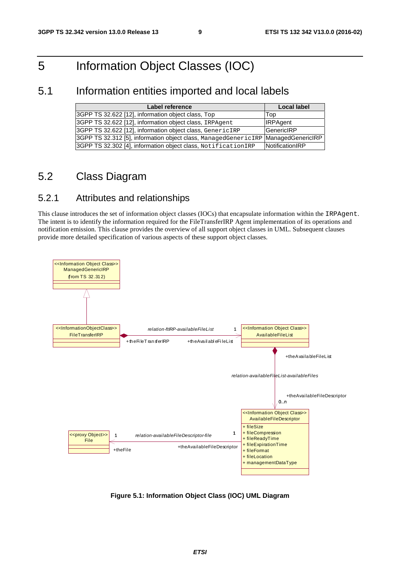# 5 Information Object Classes (IOC)

### 5.1 Information entities imported and local labels

| Label reference                                                                     | <b>Local label</b> |
|-------------------------------------------------------------------------------------|--------------------|
| 3GPP TS 32.622 [12], information object class, Top                                  | <b>Top</b>         |
| 3GPP TS 32.622 [12], information object class, IRPAgent                             | <b>IRPAgent</b>    |
| 3GPP TS 32.622 [12], information object class, GenericIRP                           | <b>IGenericIRP</b> |
| 3GPP TS 32.312 [5], information object class, ManagedGenericIRP   ManagedGenericIRP |                    |
| 3GPP TS 32.302 [4], information object class, NotificationIRP                       | NotificationIRP    |

### 5.2 Class Diagram

### 5.2.1 Attributes and relationships

This clause introduces the set of information object classes (IOCs) that encapsulate information within the IRPAgent. The intent is to identify the information required for the FileTransferIRP Agent implementation of its operations and notification emission. This clause provides the overview of all support object classes in UML. Subsequent clauses provide more detailed specification of various aspects of these support object classes.



**Figure 5.1: Information Object Class (IOC) UML Diagram**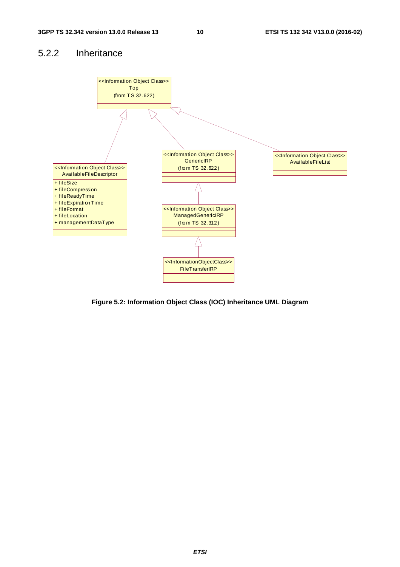### 5.2.2 Inheritance



**Figure 5.2: Information Object Class (IOC) Inheritance UML Diagram**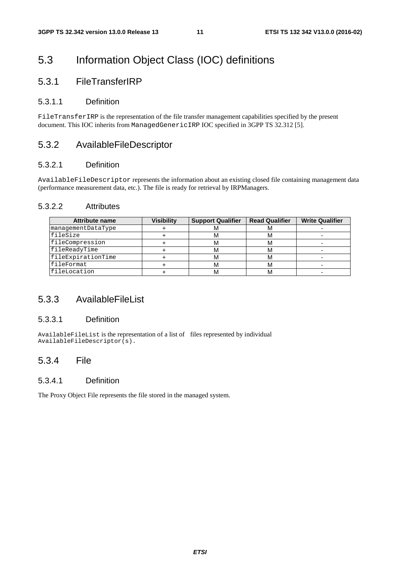# 5.3 Information Object Class (IOC) definitions

### 5.3.1 FileTransferIRP

#### 5.3.1.1 Definition

FileTransferIRP is the representation of the file transfer management capabilities specified by the present document. This IOC inherits from ManagedGenericIRP IOC specified in 3GPP TS 32.312 [5].

#### 5.3.2 AvailableFileDescriptor

#### 5.3.2.1 Definition

AvailableFileDescriptor represents the information about an existing closed file containing management data (performance measurement data, etc.). The file is ready for retrieval by IRPManagers.

#### 5.3.2.2 Attributes

| <b>Attribute name</b> | Visibilitv | <b>Support Qualifier</b> | <b>Read Qualifier</b> | <b>Write Qualifier</b> |
|-----------------------|------------|--------------------------|-----------------------|------------------------|
| managementDataType    |            | ΙVΙ                      | <b>IVI</b>            |                        |
| fileSize              |            | м                        | ΙVΙ                   |                        |
| fileCompression       |            | м                        | ΙVΙ                   |                        |
| fileReadyTime         |            | м                        | M                     |                        |
| fileExpirationTime    |            | м                        | M                     |                        |
| <i>IfileFormat</i>    |            | м                        | ΙVΙ                   |                        |
| <i>EileLocation</i>   |            | м                        |                       |                        |

#### 5.3.3 AvailableFileList

#### 5.3.3.1 Definition

AvailableFileList is the representation of a list of files represented by individual AvailableFileDescriptor(s).

#### 5.3.4 File

#### 5.3.4.1 Definition

The Proxy Object File represents the file stored in the managed system.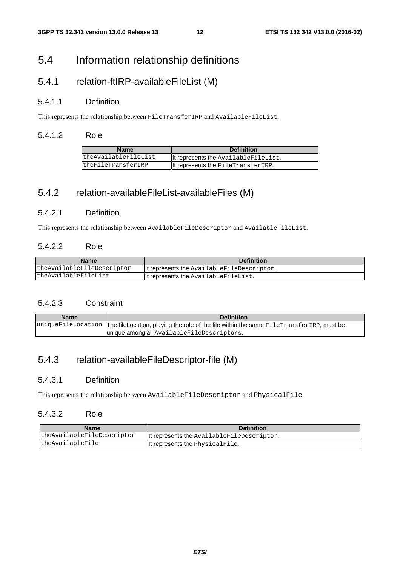### 5.4 Information relationship definitions

### 5.4.1 relation-ftIRP-availableFileList (M)

#### 5.4.1.1 Definition

This represents the relationship between FileTransferIRP and AvailableFileList.

#### 5.4.1.2 Role

| <b>Name</b>          | <b>Definition</b>                    |
|----------------------|--------------------------------------|
| theAvailableFileList | It represents the AvailableFileList. |
| theFileTransferIRP   | It represents the FileTransferIRP.   |

### 5.4.2 relation-availableFileList-availableFiles (M)

#### 5.4.2.1 Definition

This represents the relationship between AvailableFileDescriptor and AvailableFileList.

#### 5.4.2.2 Role

| <b>Name</b>                | <b>Definition</b>                          |
|----------------------------|--------------------------------------------|
| theAvailableFileDescriptor | It represents the AvailableFileDescriptor. |
| theAvailableFileList       | It represents the AvailableFileList.       |

#### 5.4.2.3 Constraint

| <b>Name</b> | <b>Definition</b>                                                                                          |  |
|-------------|------------------------------------------------------------------------------------------------------------|--|
|             | uniqueFileLocation The fileLocation, playing the role of the file within the same FileTransferIRP, must be |  |
|             | unique among all AvailableFileDescriptors.                                                                 |  |

### 5.4.3 relation-availableFileDescriptor-file (M)

#### 5.4.3.1 Definition

This represents the relationship between AvailableFileDescriptor and PhysicalFile.

#### 5.4.3.2 Role

| <b>Name</b>                | <b>Definition</b>                          |
|----------------------------|--------------------------------------------|
| theAvailableFileDescriptor | It represents the AvailableFileDescriptor. |
| theAvailableFile           | It represents the PhysicalFile.            |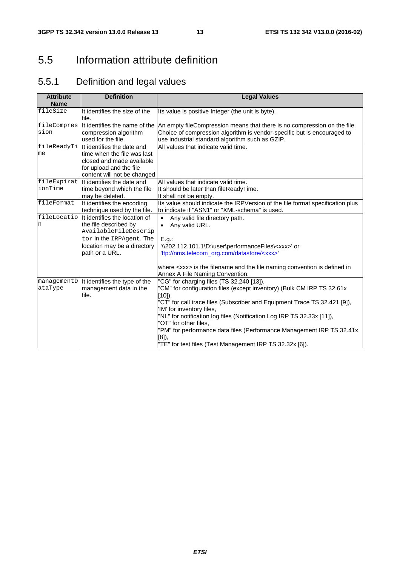# 5.5 Information attribute definition

# 5.5.1 Definition and legal values

| <b>Attribute</b><br><b>Name</b> | <b>Definition</b>                                                                                                                                                         | <b>Legal Values</b>                                                                                                                                                                                                                                                                                                                                                                                                                                                                          |  |  |
|---------------------------------|---------------------------------------------------------------------------------------------------------------------------------------------------------------------------|----------------------------------------------------------------------------------------------------------------------------------------------------------------------------------------------------------------------------------------------------------------------------------------------------------------------------------------------------------------------------------------------------------------------------------------------------------------------------------------------|--|--|
| fileSize                        | It identifies the size of the<br>file.                                                                                                                                    | Its value is positive Integer (the unit is byte).                                                                                                                                                                                                                                                                                                                                                                                                                                            |  |  |
| fileCompres<br>sion             | It identifies the name of the<br>compression algorithm<br>used for the file.                                                                                              | An empty fileCompression means that there is no compression on the file.<br>Choice of compression algorithm is vendor-specific but is encouraged to<br>use industrial standard algorithm such as GZIP.                                                                                                                                                                                                                                                                                       |  |  |
| me                              | fileReadyTi It identifies the date and<br>time when the file was last<br>closed and made available<br>for upload and the file<br>content will not be changed              | All values that indicate valid time.                                                                                                                                                                                                                                                                                                                                                                                                                                                         |  |  |
| fileExpirat<br>ionTime          | It identifies the date and<br>time beyond which the file<br>may be deleted.                                                                                               | All values that indicate valid time.<br>It should be later than fileReadyTime.<br>It shall not be empty.                                                                                                                                                                                                                                                                                                                                                                                     |  |  |
| fileFormat                      | It identifies the encoding<br>technique used by the file.                                                                                                                 | Its value should indicate the IRPVersion of the file format specification plus<br>to indicate if "ASN1" or "XML-schema" is used.                                                                                                                                                                                                                                                                                                                                                             |  |  |
| n                               | fileLocatio   It identifies the location of<br>the file described by<br>AvailableFileDescrip<br>tor in the IRPAgent. The<br>location may be a directory<br>path or a URL. | Any valid file directory path.<br>$\bullet$<br>Any valid URL.<br>$\bullet$<br>E.g.:<br>'\\202.112.101.1\D:\user\performanceFiles\ <xxx>' or<br/>'ftp://nms.telecom_org.com/datastore/<xxx>'</xxx></xxx>                                                                                                                                                                                                                                                                                      |  |  |
|                                 |                                                                                                                                                                           | where <xxx> is the filename and the file naming convention is defined in<br/>Annex A File Naming Convention.</xxx>                                                                                                                                                                                                                                                                                                                                                                           |  |  |
| managementD<br>ataType          | It identifies the type of the<br>management data in the<br>file.                                                                                                          | "CG" for charging files (TS 32.240 [13]),<br>"CM" for configuration files (except inventory) (Bulk CM IRP TS 32.61x<br>$[10]$ ,<br>"CT" for call trace files (Subscriber and Equipment Trace TS 32.421 [9]),<br>'IM' for inventory files,<br>"NL" for notification log files (Notification Log IRP TS 32.33x [11]),<br>"OT" for other files.<br>"PM" for performance data files (Performance Management IRP TS 32.41x<br>$[8]$ ,<br>"TE" for test files (Test Management IRP TS 32.32x [6]). |  |  |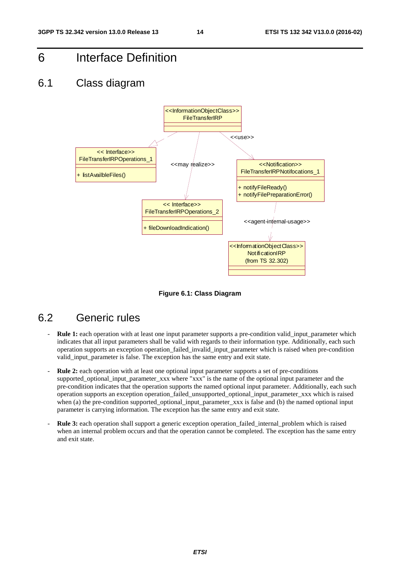6 Interface Definition

### 6.1 Class diagram



**Figure 6.1: Class Diagram** 

### 6.2 Generic rules

- **Rule 1:** each operation with at least one input parameter supports a pre-condition valid\_input\_parameter which indicates that all input parameters shall be valid with regards to their information type. Additionally, each such operation supports an exception operation\_failed\_invalid\_input\_parameter which is raised when pre-condition valid\_input\_parameter is false. The exception has the same entry and exit state.
- **Rule 2:** each operation with at least one optional input parameter supports a set of pre-conditions supported\_optional\_input\_parameter\_xxx where "xxx" is the name of the optional input parameter and the pre-condition indicates that the operation supports the named optional input parameter. Additionally, each such operation supports an exception operation\_failed\_unsupported\_optional\_input\_parameter\_xxx which is raised when (a) the pre-condition supported optional input parameter xxx is false and (b) the named optional input parameter is carrying information. The exception has the same entry and exit state.
- **Rule 3:** each operation shall support a generic exception operation\_failed\_internal\_problem which is raised when an internal problem occurs and that the operation cannot be completed. The exception has the same entry and exit state.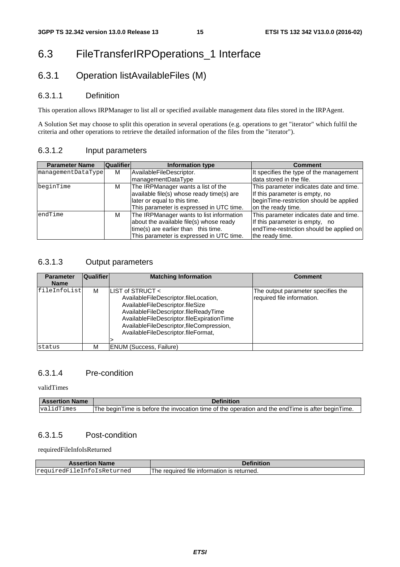# 6.3 FileTransferIRPOperations\_1 Interface

### 6.3.1 Operation listAvailableFiles (M)

#### 6.3.1.1 Definition

This operation allows IRPManager to list all or specified available management data files stored in the IRPAgent.

A Solution Set may choose to split this operation in several operations (e.g. operations to get "iterator" which fulfil the criteria and other operations to retrieve the detailed information of the files from the "iterator").

#### 6.3.1.2 Input parameters

| <b>Parameter Name</b> | Qualifier | Information type                          | <b>Comment</b>                           |
|-----------------------|-----------|-------------------------------------------|------------------------------------------|
| managementDataType    | М         | AvailableFileDescriptor.                  | It specifies the type of the management  |
|                       |           | managementDataType                        | data stored in the file.                 |
| beginTime             | М         | The IRPManager wants a list of the        | This parameter indicates date and time.  |
|                       |           | available file(s) whose ready time(s) are | If this parameter is empty, no           |
|                       |           | later or equal to this time.              | beginTime-restriction should be applied  |
|                       |           | This parameter is expressed in UTC time.  | on the ready time.                       |
| endTime               | м         | The IRPManager wants to list information  | This parameter indicates date and time.  |
|                       |           | about the available file(s) whose ready   | If this parameter is empty, no           |
|                       |           | time(s) are earlier than this time.       | endTime-restriction should be applied on |
|                       |           | This parameter is expressed in UTC time.  | the ready time.                          |

#### 6.3.1.3 Output parameters

| <b>Parameter</b><br><b>Name</b> | <b>Qualifier</b> | <b>Matching Information</b>                                                                                                                                                                                                                                             | <b>Comment</b>                                                   |
|---------------------------------|------------------|-------------------------------------------------------------------------------------------------------------------------------------------------------------------------------------------------------------------------------------------------------------------------|------------------------------------------------------------------|
| fileInfoList                    | M                | LIST of STRUCT <<br>AvailableFileDescriptor.fileLocation,<br>AvailableFileDescriptor.fileSize<br>AvailableFileDescriptor.fileReadyTime<br>AvailableFileDescriptor.fileExpirationTime<br>AvailableFileDescriptor,fileCompression,<br>AvailableFileDescriptor.fileFormat, | The output parameter specifies the<br>required file information. |
| status                          | M                | ENUM (Success, Failure)                                                                                                                                                                                                                                                 |                                                                  |

#### 6.3.1.4 Pre-condition

validTimes

| <b>Assertion Name</b> | Definition                                                                                          |
|-----------------------|-----------------------------------------------------------------------------------------------------|
| validTimes            | The begin Time is before the invocation time of the operation and the end Time is after begin Time. |

#### 6.3.1.5 Post-condition

requiredFileInfoIsReturned

| <b>Assertion Name</b>      | Definition                                 |
|----------------------------|--------------------------------------------|
| requiredFileInfoIsReturned | The required file information is returned. |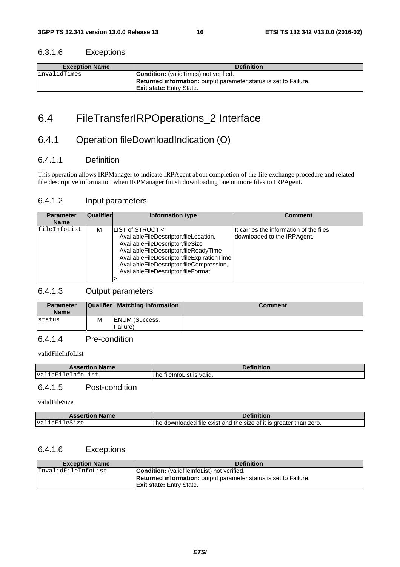#### 6.3.1.6 Exceptions

| <b>Exception Name</b> | <b>Definition</b>                                                       |
|-----------------------|-------------------------------------------------------------------------|
| linvalidTimes         | <b>Condition:</b> (validTimes) not verified.                            |
|                       | <b>Returned information:</b> output parameter status is set to Failure. |
|                       | <b>Exit state: Entry State.</b>                                         |

# 6.4 FileTransferIRPOperations\_2 Interface

### 6.4.1 Operation fileDownloadIndication (O)

#### 6.4.1.1 Definition

This operation allows IRPManager to indicate IRPAgent about completion of the file exchange procedure and related file descriptive information when IRPManager finish downloading one or more files to IRPAgent.

#### 6.4.1.2 Input parameters

| <b>Parameter</b><br><b>Name</b> | <b>Qualifier</b> | Information type                                                                                                                                                                                                                                                        | <b>Comment</b>                                                         |
|---------------------------------|------------------|-------------------------------------------------------------------------------------------------------------------------------------------------------------------------------------------------------------------------------------------------------------------------|------------------------------------------------------------------------|
| fileInfoList                    | м                | LIST of STRUCT <<br>AvailableFileDescriptor.fileLocation,<br>AvailableFileDescriptor.fileSize<br>AvailableFileDescriptor.fileReadyTime<br>AvailableFileDescriptor.fileExpirationTime<br>AvailableFileDescriptor.fileCompression,<br>AvailableFileDescriptor.fileFormat, | It carries the information of the files<br>downloaded to the IRPAgent. |
|                                 |                  |                                                                                                                                                                                                                                                                         |                                                                        |

#### 6.4.1.3 Output parameters

| <b>Parameter</b><br><b>Name</b> |   | Qualifier Matching Information    | <b>Comment</b> |
|---------------------------------|---|-----------------------------------|----------------|
| status                          | M | <b>ENUM (Success,</b><br>Failure) |                |

#### 6.4.1.4 Pre-condition

validFileInfoList

| <b>Assertion Name</b> | <b>Definition</b> |
|-----------------------|-------------------|
| idFi                  | * is valid.       |
| leInfoList            | tileIntoList      |
| val                   | The.              |

#### 6.4.1.5 Post-condition

validFileSize

| <b>Assertion Name</b> | Definition                                                         |
|-----------------------|--------------------------------------------------------------------|
| validFileSize         | The downloaded file exist and the size of it is greater than zero. |

#### 6.4.1.6 Exceptions

| <b>Exception Name</b> | <b>Definition</b>                                                       |
|-----------------------|-------------------------------------------------------------------------|
| InvalidFileInfoList   | <b>Condition:</b> (validfile Infolation) not verified.                  |
|                       | <b>Returned information:</b> output parameter status is set to Failure. |
|                       | <b>Exit state:</b> Entry State.                                         |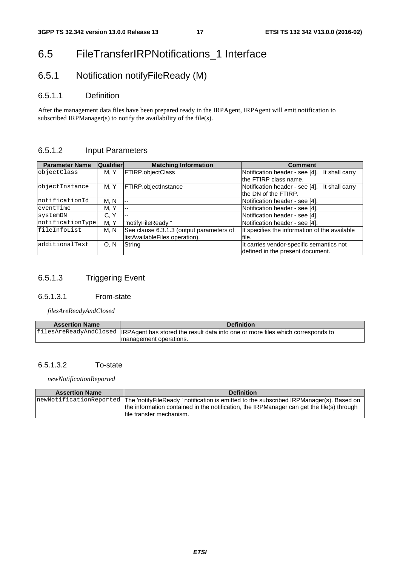# 6.5 FileTransferIRPNotifications\_1 Interface

# 6.5.1 Notification notifyFileReady (M)

#### 6.5.1.1 Definition

After the management data files have been prepared ready in the IRPAgent, IRPAgent will emit notification to subscribed IRPManager(s) to notify the availability of the file(s).

#### 6.5.1.2 Input Parameters

| <b>Parameter Name</b> | <b>Qualifier</b> | <b>Matching Information</b>              | <b>Comment</b>                                   |
|-----------------------|------------------|------------------------------------------|--------------------------------------------------|
| objectClass           | M. Y             | <b>FTIRP.objectClass</b>                 | Notification header - see [4].<br>It shall carry |
|                       |                  |                                          | the FTIRP class name.                            |
| objectInstance        | M. Y             | <b>FTIRP.objectInstance</b>              | Notification header - see [4].<br>It shall carry |
|                       |                  |                                          | the DN of the FTIRP.                             |
| notificationId        | M. N             | $ -$                                     | Notification header - see [4].                   |
| eventTime             | M, Y             | $\overline{\phantom{a}}$                 | Notification header - see [4].                   |
| systemDN              | C.Y              | $- -$                                    | Notification header - see [4].                   |
| notificationType      | M. Y             | "notifyFileReady"                        | Notification header - see [4].                   |
| fileInfoList          | M. N             | See clause 6.3.1.3 (output parameters of | It specifies the information of the available    |
|                       |                  | listAvailableFiles operation).           | file.                                            |
| additionalText        | 0. N             | String                                   | It carries vendor-specific semantics not         |
|                       |                  |                                          | defined in the present document.                 |

#### 6.5.1.3 Triggering Event

#### 6.5.1.3.1 From-state

*filesAreReadyAndClosed*

| <b>Assertion Name</b> | <b>Definition</b>                                                                                        |
|-----------------------|----------------------------------------------------------------------------------------------------------|
|                       | filesAreReadyAndClosed   IRPAgent has stored the result data into one or more files which corresponds to |
|                       | management operations.                                                                                   |

#### 6.5.1.3.2 To-state

*newNotificationReported*

| <b>Assertion Name</b> | <b>Definition</b>                                                                                                                                                                                                                         |
|-----------------------|-------------------------------------------------------------------------------------------------------------------------------------------------------------------------------------------------------------------------------------------|
|                       | newNotificationReported The 'notifyFileReady' notification is emitted to the subscribed IRPManager(s). Based on<br>the information contained in the notification, the IRPManager can get the file(s) through<br>Ifile transfer mechanism. |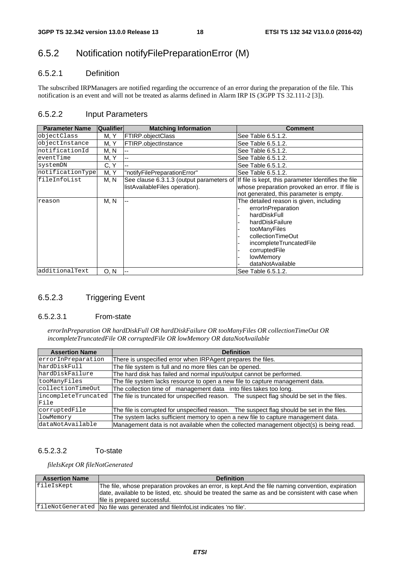### 6.5.2 Notification notifyFilePreparationError (M)

#### 6.5.2.1 Definition

The subscribed IRPManagers are notified regarding the occurrence of an error during the preparation of the file. This notification is an event and will not be treated as alarms defined in Alarm IRP IS (3GPP TS 32.111-2 [3]).

#### 6.5.2.2 Input Parameters

| <b>Parameter Name</b> | <b>Qualifier</b> | <b>Matching Information</b>                                                | <b>Comment</b>                                                                                                                                                                                                     |
|-----------------------|------------------|----------------------------------------------------------------------------|--------------------------------------------------------------------------------------------------------------------------------------------------------------------------------------------------------------------|
| objectClass           | M. Y             | FTIRP.objectClass                                                          | See Table 6.5.1.2.                                                                                                                                                                                                 |
| objectInstance        | M. Y             | FTIRP.objectInstance                                                       | See Table 6.5.1.2.                                                                                                                                                                                                 |
| notificationId        | M, N             |                                                                            | See Table 6.5.1.2.                                                                                                                                                                                                 |
| eventTime             | M, Y             |                                                                            | See Table 6.5.1.2.                                                                                                                                                                                                 |
| systemDN              | C, Y             |                                                                            | See Table 6.5.1.2.                                                                                                                                                                                                 |
| notificationType      | M, Y             | "notifyFilePreparationError"                                               | See Table 6.5.1.2.                                                                                                                                                                                                 |
| fileInfoList          | M, N             | See clause 6.3.1.3 (output parameters of<br>listAvailableFiles operation). | If file is kept, this parameter Identifies the file<br>whose preparation provoked an error. If file is<br>not generated, this parameter is empty.                                                                  |
| reason                | M, N             | $-$                                                                        | The detailed reason is given, including<br>errorInPreparation<br>hardDiskFull<br>hardDiskFailure<br>tooManyFiles<br>collectionTimeOut<br>incompleteTruncatedFile<br>corruptedFile<br>lowMemory<br>dataNotAvailable |
| additionalText        | 0. N             |                                                                            | See Table 6.5.1.2.                                                                                                                                                                                                 |

#### 6.5.2.3 Triggering Event

#### 6.5.2.3.1 From-state

*errorInPreparation OR hardDiskFull OR hardDiskFailure OR tooManyFiles OR collectionTimeOut OR incompleteTruncatedFile OR corruptedFile OR lowMemory OR dataNotAvailable*

| <b>Assertion Name</b> | <b>Definition</b>                                                                          |
|-----------------------|--------------------------------------------------------------------------------------------|
| errorInPreparation    | There is unspecified error when IRPAgent prepares the files.                               |
| hardDiskFull          | The file system is full and no more files can be opened.                                   |
| hardDiskFailure       | The hard disk has failed and normal input/output cannot be performed.                      |
| tooManyFiles          | The file system lacks resource to open a new file to capture management data.              |
| collectionTimeOut     | The collection time of management data into files takes too long.                          |
| incompleteTruncated   | The file is truncated for unspecified reason. The suspect flag should be set in the files. |
| File                  |                                                                                            |
| corruptedFile         | The file is corrupted for unspecified reason. The suspect flag should be set in the files. |
| lowMemory             | The system lacks sufficient memory to open a new file to capture management data.          |
| dataNotAvailable      | Management data is not available when the collected management object(s) is being read.    |

#### 6.5.2.3.2 To-state

*fileIsKept OR fileNotGenerated*

| <b>Assertion Name</b> | <b>Definition</b>                                                                                                                                                                                       |
|-----------------------|---------------------------------------------------------------------------------------------------------------------------------------------------------------------------------------------------------|
| fileIsKept            | The file, whose preparation provokes an error, is kept. And the file naming convention, expiration<br>date, available to be listed, etc. should be treated the same as and be consistent with case when |
|                       | lfile is prepared successful.                                                                                                                                                                           |
|                       |                                                                                                                                                                                                         |
|                       | fileNotGenerated   No file was generated and fileInfoList indicates 'no file'.                                                                                                                          |
|                       |                                                                                                                                                                                                         |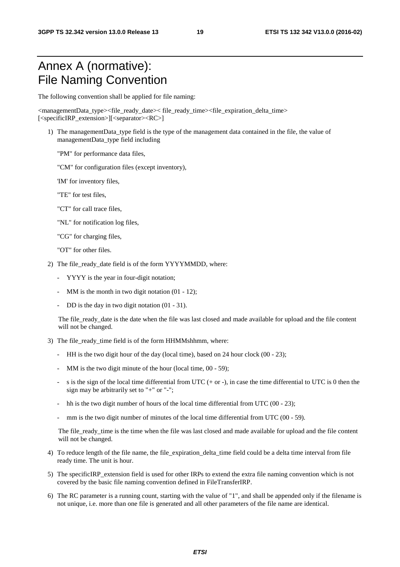# Annex A (normative): File Naming Convention

The following convention shall be applied for file naming:

<managementData\_type><file\_ready\_date>< file\_ready\_time><file\_expiration\_delta\_time> [<specificIRP\_extension>][<separator><RC>]

- 1) The managementData\_type field is the type of the management data contained in the file, the value of managementData\_type field including
	- "PM" for performance data files,
	- "CM" for configuration files (except inventory),
	- 'IM' for inventory files,
	- "TE" for test files,
	- "CT" for call trace files,
	- "NL" for notification log files,
	- "CG" for charging files,
	- "OT" for other files.
- 2) The file\_ready\_date field is of the form YYYYMMDD, where:
	- YYYY is the year in four-digit notation;
	- MM is the month in two digit notation  $(01 12)$ ;
	- DD is the day in two digit notation  $(01 31)$ .

The file\_ready\_date is the date when the file was last closed and made available for upload and the file content will not be changed.

- 3) The file ready time field is of the form HHMMshhmm, where:
	- HH is the two digit hour of the day (local time), based on 24 hour clock (00 23);
	- MM is the two digit minute of the hour (local time, 00 59);
	- s is the sign of the local time differential from UTC  $(+ or -)$ , in case the time differential to UTC is 0 then the sign may be arbitrarily set to "+" or "-";
	- hh is the two digit number of hours of the local time differential from UTC  $(00 23)$ ;
	- mm is the two digit number of minutes of the local time differential from UTC  $(00 59)$ .

The file\_ready\_time is the time when the file was last closed and made available for upload and the file content will not be changed.

- 4) To reduce length of the file name, the file\_expiration\_delta\_time field could be a delta time interval from file ready time. The unit is hour.
- 5) The specificIRP\_extension field is used for other IRPs to extend the extra file naming convention which is not covered by the basic file naming convention defined in FileTransferIRP.
- 6) The RC parameter is a running count, starting with the value of "1", and shall be appended only if the filename is not unique, i.e. more than one file is generated and all other parameters of the file name are identical.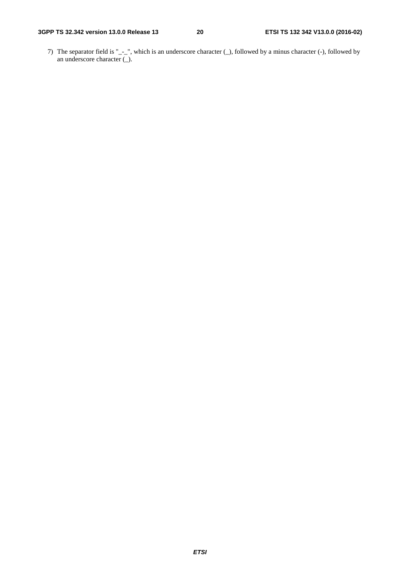7) The separator field is "\_-\_", which is an underscore character (\_), followed by a minus character (-), followed by an underscore character (\_).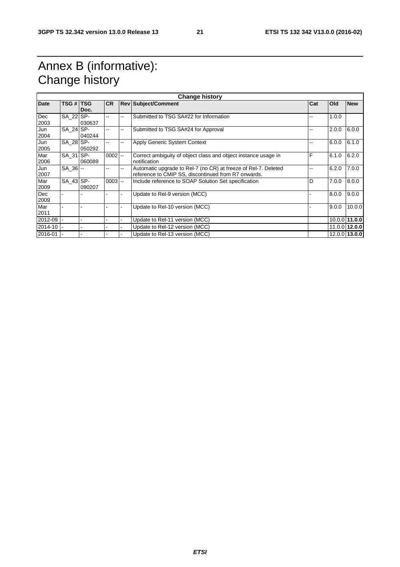# Annex B (informative): Change history

| <b>Change history</b> |               |        |           |       |                                                                |     |       |               |  |
|-----------------------|---------------|--------|-----------|-------|----------------------------------------------------------------|-----|-------|---------------|--|
| <b>Date</b>           | TSG # TSG     |        | <b>CR</b> |       | <b>Rev Subject/Comment</b>                                     | Cat | Old   | <b>New</b>    |  |
|                       |               | Doc.   |           |       |                                                                |     |       |               |  |
| Dec                   | SA_22 SP-     |        | --        | --    | Submitted to TSG SA#22 for Information                         |     | 1.0.0 |               |  |
| 2003                  |               | 030637 |           |       |                                                                |     |       |               |  |
| Jun                   | SA 24 SP-     |        | --        | --    | Submitted to TSG SA#24 for Approval                            | --  | 2.0.0 | 6.0.0         |  |
| 2004                  |               | 040244 |           |       |                                                                |     |       |               |  |
| Jun                   | SA 28 SP-     |        | --        | --    | Apply Generic System Context                                   |     | 6.0.0 | 6.1.0         |  |
| 2005                  |               | 050292 |           |       |                                                                |     |       |               |  |
| Mar                   | SA_31 SP-     |        | $0002$ -- |       | Correct ambiguity of object class and object instance usage in | F   | 6.1.0 | 6.2.0         |  |
| 2006                  |               | 060089 |           |       | notification                                                   |     |       |               |  |
| Jun                   | $SA \ 36$ --  |        | --        | $- -$ | Automatic upgrade to Rel-7 (no CR) at freeze of Rel-7. Deleted | --  | 6.2.0 | 7.0.0         |  |
| 2007                  |               |        |           |       | reference to CMIP SS, discontinued from R7 onwards.            |     |       |               |  |
| Mar                   | $SA$ 43 $SP-$ |        | $0003$ -- |       | Include reference to SOAP Solution Set specification           | D   | 7.0.0 | 8.0.0         |  |
| 2009                  |               | 090207 |           |       |                                                                |     |       |               |  |
| Dec                   |               |        |           |       | Update to Rel-9 version (MCC)                                  |     | 8.0.0 | 9.0.0         |  |
| 2009                  |               |        |           |       |                                                                |     |       |               |  |
| Mar                   |               |        |           |       | Update to Rel-10 version (MCC)                                 |     | 9.0.0 | 10.0.0        |  |
| 2011                  |               |        |           |       |                                                                |     |       |               |  |
| 2012-09               |               |        |           |       | Update to Rel-11 version (MCC)                                 |     |       | 10.0.0 11.0.0 |  |
| 2014-10               |               |        |           |       | Update to Rel-12 version (MCC)                                 |     |       | 11.0.0 12.0.0 |  |
| 2016-01               |               |        |           |       | Update to Rel-13 version (MCC)                                 |     |       | 12.0.0 13.0.0 |  |